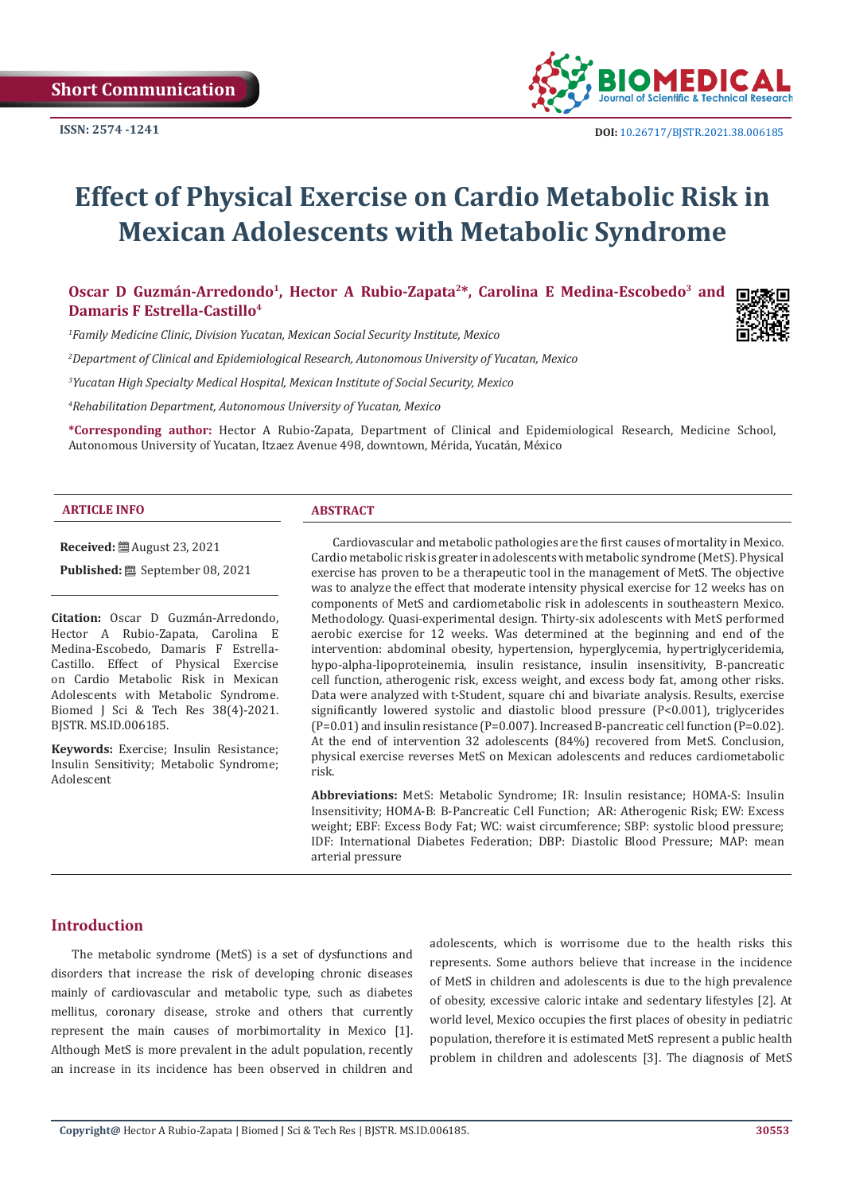

# **Effect of Physical Exercise on Cardio Metabolic Risk in Mexican Adolescents with Metabolic Syndrome**

Oscar D Guzmán-Arredondo<sup>1</sup>, Hector A Rubio-Zapata<sup>2\*</sup>, Carolina E Medina-Escobedo<sup>3</sup> and **Damaris F Estrella-Castillo4**

*1 Family Medicine Clinic, Division Yucatan, Mexican Social Security Institute, Mexico*

*2 Department of Clinical and Epidemiological Research, Autonomous University of Yucatan, Mexico* 

*3 Yucatan High Specialty Medical Hospital, Mexican Institute of Social Security, Mexico*

*4 Rehabilitation Department, Autonomous University of Yucatan, Mexico*

**\*Corresponding author:** Hector A Rubio-Zapata, Department of Clinical and Epidemiological Research, Medicine School, Autonomous University of Yucatan, Itzaez Avenue 498, downtown, Mérida, Yucatán, México

#### **ARTICLE INFO ABSTRACT**

**Received:** August 23, 2021

Published: **③** September 08, 2021

**Citation:** Oscar D Guzmán-Arredondo, Hector A Rubio-Zapata, Carolina E Medina-Escobedo, Damaris F Estrella-Castillo. Effect of Physical Exercise on Cardio Metabolic Risk in Mexican Adolescents with Metabolic Syndrome. Biomed J Sci & Tech Res 38(4)-2021. BJSTR. MS.ID.006185.

**Keywords:** Exercise; Insulin Resistance; Insulin Sensitivity; Metabolic Syndrome; Adolescent

Cardiovascular and metabolic pathologies are the first causes of mortality in Mexico. Cardio metabolic risk is greater in adolescents with metabolic syndrome (MetS). Physical exercise has proven to be a therapeutic tool in the management of MetS. The objective was to analyze the effect that moderate intensity physical exercise for 12 weeks has on components of MetS and cardiometabolic risk in adolescents in southeastern Mexico. Methodology. Quasi-experimental design. Thirty-six adolescents with MetS performed aerobic exercise for 12 weeks. Was determined at the beginning and end of the intervention: abdominal obesity, hypertension, hyperglycemia, hypertriglyceridemia, hypo-alpha-lipoproteinemia, insulin resistance, insulin insensitivity, B-pancreatic cell function, atherogenic risk, excess weight, and excess body fat, among other risks. Data were analyzed with t-Student, square chi and bivariate analysis. Results, exercise significantly lowered systolic and diastolic blood pressure (P<0.001), triglycerides (P=0.01) and insulin resistance (P=0.007). Increased B-pancreatic cell function (P=0.02). At the end of intervention 32 adolescents (84%) recovered from MetS. Conclusion, physical exercise reverses MetS on Mexican adolescents and reduces cardiometabolic risk.

**Abbreviations:** MetS: Metabolic Syndrome; IR: Insulin resistance; HOMA-S: Insulin Insensitivity; HOMA-B: B-Pancreatic Cell Function; AR: Atherogenic Risk; EW: Excess weight; EBF: Excess Body Fat; WC: waist circumference; SBP: systolic blood pressure; IDF: International Diabetes Federation; DBP: Diastolic Blood Pressure; MAP: mean arterial pressure

# **Introduction**

The metabolic syndrome (MetS) is a set of dysfunctions and disorders that increase the risk of developing chronic diseases mainly of cardiovascular and metabolic type, such as diabetes mellitus, coronary disease, stroke and others that currently represent the main causes of morbimortality in Mexico [1]. Although MetS is more prevalent in the adult population, recently an increase in its incidence has been observed in children and

adolescents, which is worrisome due to the health risks this represents. Some authors believe that increase in the incidence of MetS in children and adolescents is due to the high prevalence of obesity, excessive caloric intake and sedentary lifestyles [2]. At world level, Mexico occupies the first places of obesity in pediatric population, therefore it is estimated MetS represent a public health problem in children and adolescents [3]. The diagnosis of MetS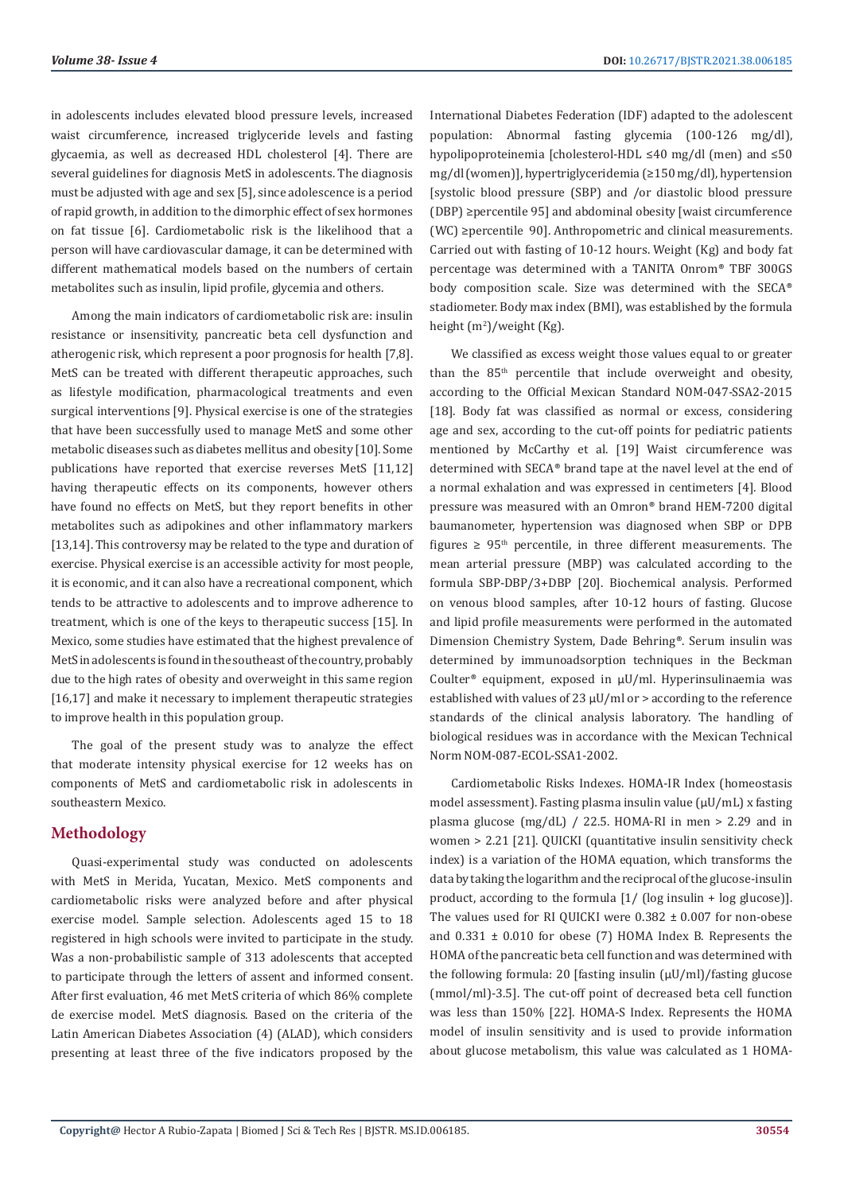in adolescents includes elevated blood pressure levels, increased waist circumference, increased triglyceride levels and fasting glycaemia, as well as decreased HDL cholesterol [4]. There are several guidelines for diagnosis MetS in adolescents. The diagnosis must be adjusted with age and sex [5], since adolescence is a period of rapid growth, in addition to the dimorphic effect of sex hormones on fat tissue [6]. Cardiometabolic risk is the likelihood that a person will have cardiovascular damage, it can be determined with different mathematical models based on the numbers of certain metabolites such as insulin, lipid profile, glycemia and others.

Among the main indicators of cardiometabolic risk are: insulin resistance or insensitivity, pancreatic beta cell dysfunction and atherogenic risk, which represent a poor prognosis for health [7,8]. MetS can be treated with different therapeutic approaches, such as lifestyle modification, pharmacological treatments and even surgical interventions [9]. Physical exercise is one of the strategies that have been successfully used to manage MetS and some other metabolic diseases such as diabetes mellitus and obesity [10]. Some publications have reported that exercise reverses MetS [11,12] having therapeutic effects on its components, however others have found no effects on MetS, but they report benefits in other metabolites such as adipokines and other inflammatory markers [13,14]. This controversy may be related to the type and duration of exercise. Physical exercise is an accessible activity for most people, it is economic, and it can also have a recreational component, which tends to be attractive to adolescents and to improve adherence to treatment, which is one of the keys to therapeutic success [15]. In Mexico, some studies have estimated that the highest prevalence of MetS in adolescents is found in the southeast of the country, probably due to the high rates of obesity and overweight in this same region [16,17] and make it necessary to implement therapeutic strategies to improve health in this population group.

The goal of the present study was to analyze the effect that moderate intensity physical exercise for 12 weeks has on components of MetS and cardiometabolic risk in adolescents in southeastern Mexico.

# **Methodology**

Quasi-experimental study was conducted on adolescents with MetS in Merida, Yucatan, Mexico. MetS components and cardiometabolic risks were analyzed before and after physical exercise model. Sample selection. Adolescents aged 15 to 18 registered in high schools were invited to participate in the study. Was a non-probabilistic sample of 313 adolescents that accepted to participate through the letters of assent and informed consent. After first evaluation, 46 met MetS criteria of which 86% complete de exercise model. MetS diagnosis. Based on the criteria of the Latin American Diabetes Association (4) (ALAD), which considers presenting at least three of the five indicators proposed by the International Diabetes Federation (IDF) adapted to the adolescent population: Abnormal fasting glycemia (100-126 mg/dl), hypolipoproteinemia [cholesterol-HDL ≤40 mg/dl (men) and ≤50 mg/dl (women)], hypertriglyceridemia (≥150 mg/dl), hypertension [systolic blood pressure (SBP) and /or diastolic blood pressure (DBP) ≥percentile 95] and abdominal obesity [waist circumference (WC) ≥percentile 90]. Anthropometric and clinical measurements. Carried out with fasting of 10-12 hours. Weight (Kg) and body fat percentage was determined with a TANITA Onrom® TBF 300GS body composition scale. Size was determined with the SECA® stadiometer. Body max index (BMI), was established by the formula height (m<sup>2</sup>)/weight (Kg).

We classified as excess weight those values equal to or greater than the  $85<sup>th</sup>$  percentile that include overweight and obesity, according to the Official Mexican Standard NOM-047-SSA2-2015 [18]. Body fat was classified as normal or excess, considering age and sex, according to the cut-off points for pediatric patients mentioned by McCarthy et al. [19] Waist circumference was determined with SECA® brand tape at the navel level at the end of a normal exhalation and was expressed in centimeters [4]. Blood pressure was measured with an Omron® brand HEM-7200 digital baumanometer, hypertension was diagnosed when SBP or DPB figures  $\geq 95$ <sup>th</sup> percentile, in three different measurements. The mean arterial pressure (MBP) was calculated according to the formula SBP-DBP/3+DBP [20]. Biochemical analysis. Performed on venous blood samples, after 10-12 hours of fasting. Glucose and lipid profile measurements were performed in the automated Dimension Chemistry System, Dade Behring®. Serum insulin was determined by immunoadsorption techniques in the Beckman Coulter® equipment, exposed in µU/ml. Hyperinsulinaemia was established with values of 23  $\mu$ U/ml or > according to the reference standards of the clinical analysis laboratory. The handling of biological residues was in accordance with the Mexican Technical Norm NOM-087-ECOL-SSA1-2002.

Cardiometabolic Risks Indexes. HOMA-IR Index (homeostasis model assessment). Fasting plasma insulin value (uU/mL) x fasting plasma glucose (mg/dL) / 22.5. HOMA-RI in men > 2.29 and in women > 2.21 [21]. QUICKI (quantitative insulin sensitivity check index) is a variation of the HOMA equation, which transforms the data by taking the logarithm and the reciprocal of the glucose-insulin product, according to the formula [1/ (log insulin + log glucose)]. The values used for RI QUICKI were 0.382 ± 0.007 for non-obese and 0.331 ± 0.010 for obese (7) HOMA Index B. Represents the HOMA of the pancreatic beta cell function and was determined with the following formula: 20 [fasting insulin (µU/ml)/fasting glucose (mmol/ml)-3.5]. The cut-off point of decreased beta cell function was less than 150% [22]. HOMA-S Index. Represents the HOMA model of insulin sensitivity and is used to provide information about glucose metabolism, this value was calculated as 1 HOMA-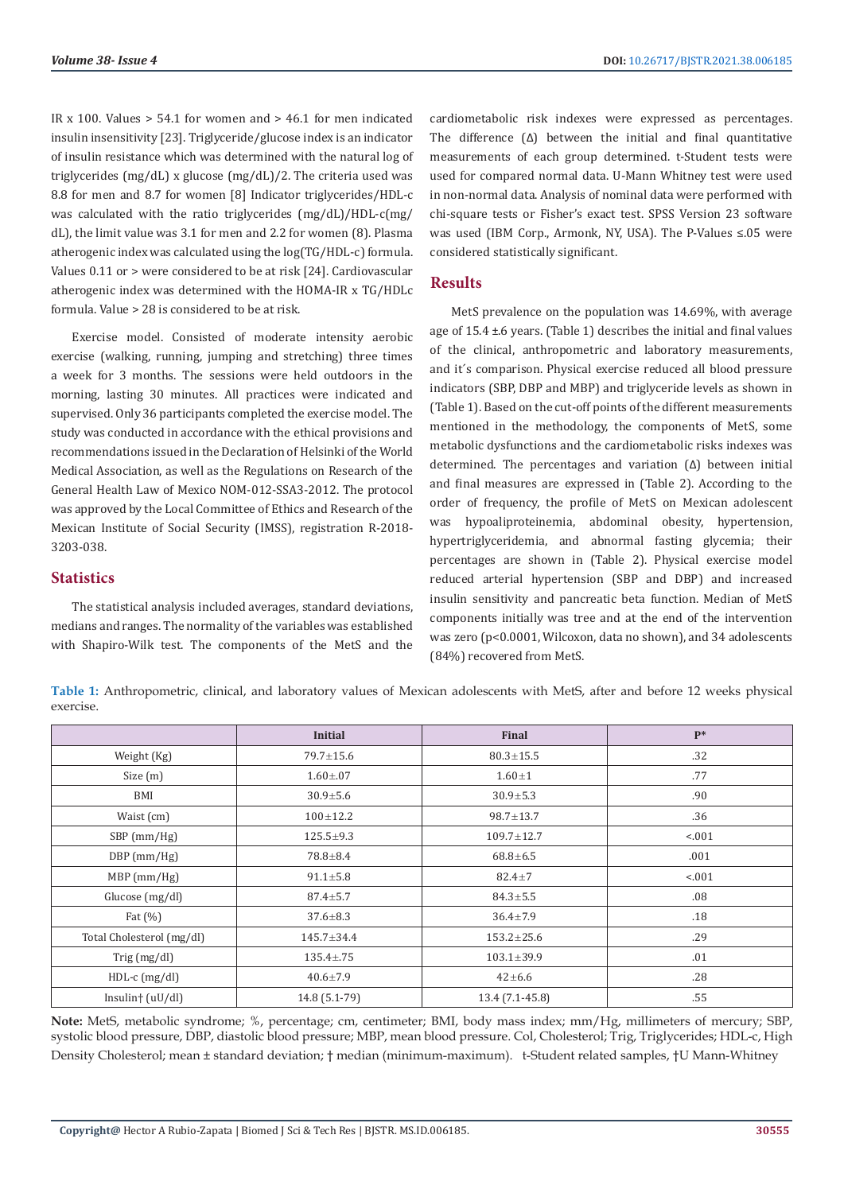IR x 100. Values  $> 54.1$  for women and  $> 46.1$  for men indicated insulin insensitivity [23]. Triglyceride/glucose index is an indicator of insulin resistance which was determined with the natural log of triglycerides (mg/dL) x glucose (mg/dL)/2. The criteria used was 8.8 for men and 8.7 for women [8] Indicator triglycerides/HDL-c was calculated with the ratio triglycerides (mg/dL)/HDL-c(mg/ dL), the limit value was 3.1 for men and 2.2 for women (8). Plasma atherogenic index was calculated using the log(TG/HDL-c) formula. Values 0.11 or > were considered to be at risk [24]. Cardiovascular atherogenic index was determined with the HOMA-IR x TG/HDLc formula. Value > 28 is considered to be at risk.

Exercise model. Consisted of moderate intensity aerobic exercise (walking, running, jumping and stretching) three times a week for 3 months. The sessions were held outdoors in the morning, lasting 30 minutes. All practices were indicated and supervised. Only 36 participants completed the exercise model. The study was conducted in accordance with the ethical provisions and recommendations issued in the Declaration of Helsinki of the World Medical Association, as well as the Regulations on Research of the General Health Law of Mexico NOM-012-SSA3-2012. The protocol was approved by the Local Committee of Ethics and Research of the Mexican Institute of Social Security (IMSS), registration R-2018- 3203-038.

#### **Statistics**

The statistical analysis included averages, standard deviations, medians and ranges. The normality of the variables was established with Shapiro-Wilk test. The components of the MetS and the cardiometabolic risk indexes were expressed as percentages. The difference (Δ) between the initial and final quantitative measurements of each group determined. t-Student tests were used for compared normal data. U-Mann Whitney test were used in non-normal data. Analysis of nominal data were performed with chi-square tests or Fisher's exact test. SPSS Version 23 software was used (IBM Corp., Armonk, NY, USA). The P-Values ≤.05 were considered statistically significant.

### **Results**

MetS prevalence on the population was 14.69%, with average age of 15.4 ±.6 years. (Table 1) describes the initial and final values of the clinical, anthropometric and laboratory measurements, and it´s comparison. Physical exercise reduced all blood pressure indicators (SBP, DBP and MBP) and triglyceride levels as shown in (Table 1). Based on the cut-off points of the different measurements mentioned in the methodology, the components of MetS, some metabolic dysfunctions and the cardiometabolic risks indexes was determined. The percentages and variation (Δ) between initial and final measures are expressed in (Table 2). According to the order of frequency, the profile of MetS on Mexican adolescent was hypoaliproteinemia, abdominal obesity, hypertension, hypertriglyceridemia, and abnormal fasting glycemia; their percentages are shown in (Table 2). Physical exercise model reduced arterial hypertension (SBP and DBP) and increased insulin sensitivity and pancreatic beta function. Median of MetS components initially was tree and at the end of the intervention was zero (p<0.0001, Wilcoxon, data no shown), and 34 adolescents (84%) recovered from MetS.

**Table 1:** Anthropometric, clinical, and laboratory values of Mexican adolescents with MetS, after and before 12 weeks physical exercise.

|                           | <b>Initial</b>  | Final                   | $P*$   |
|---------------------------|-----------------|-------------------------|--------|
| Weight (Kg)               | $79.7 \pm 15.6$ | $80.3 \pm 15.5$         | .32    |
| Size(m)                   | $1.60 \pm .07$  | .77<br>$1.60 \pm 1$     |        |
| BMI                       | $30.9 + 5.6$    | $30.9 \pm 5.3$          | .90    |
| Waist (cm)                | $100 + 12.2$    | $98.7 \pm 13.7$         | .36    |
| SBP (mm/Hg)               | $125.5 \pm 9.3$ | $109.7 \pm 12.7$        | < .001 |
| $DBP$ (mm/Hg)             | $78.8 \pm 8.4$  | $68.8 + 6.5$            | .001   |
| $MBP$ (mm/Hg)             | $91.1 \pm 5.8$  | $82.4 \pm 7$            | < .001 |
| Glucose (mg/dl)           | $87.4 \pm 5.7$  | $84.3 \pm 5.5$          | .08    |
| Fat $(\%)$                | $37.6 \pm 8.3$  | $36.4 \pm 7.9$          | .18    |
| Total Cholesterol (mg/dl) | 145.7±34.4      | $153.2 \pm 25.6$        | .29    |
| Trig $(mg/dl)$            | $135.4 \pm .75$ | .01<br>$103.1 \pm 39.9$ |        |
| $HDL-c$ (mg/dl)           | $40.6 \pm 7.9$  | $42 + 6.6$              | .28    |
| $Insulin$ $(uU/dl)$       | 14.8 (5.1-79)   | 13.4 (7.1-45.8)         | .55    |

**Note:** MetS, metabolic syndrome; %, percentage; cm, centimeter; BMI, body mass index; mm/Hg, millimeters of mercury; SBP, systolic blood pressure, DBP, diastolic blood pressure; MBP, mean blood pressure. Col, Cholesterol; Trig, Triglycerides; HDL-c, High Density Cholesterol; mean ± standard deviation; † median (minimum-maximum). t-Student related samples, †U Mann-Whitney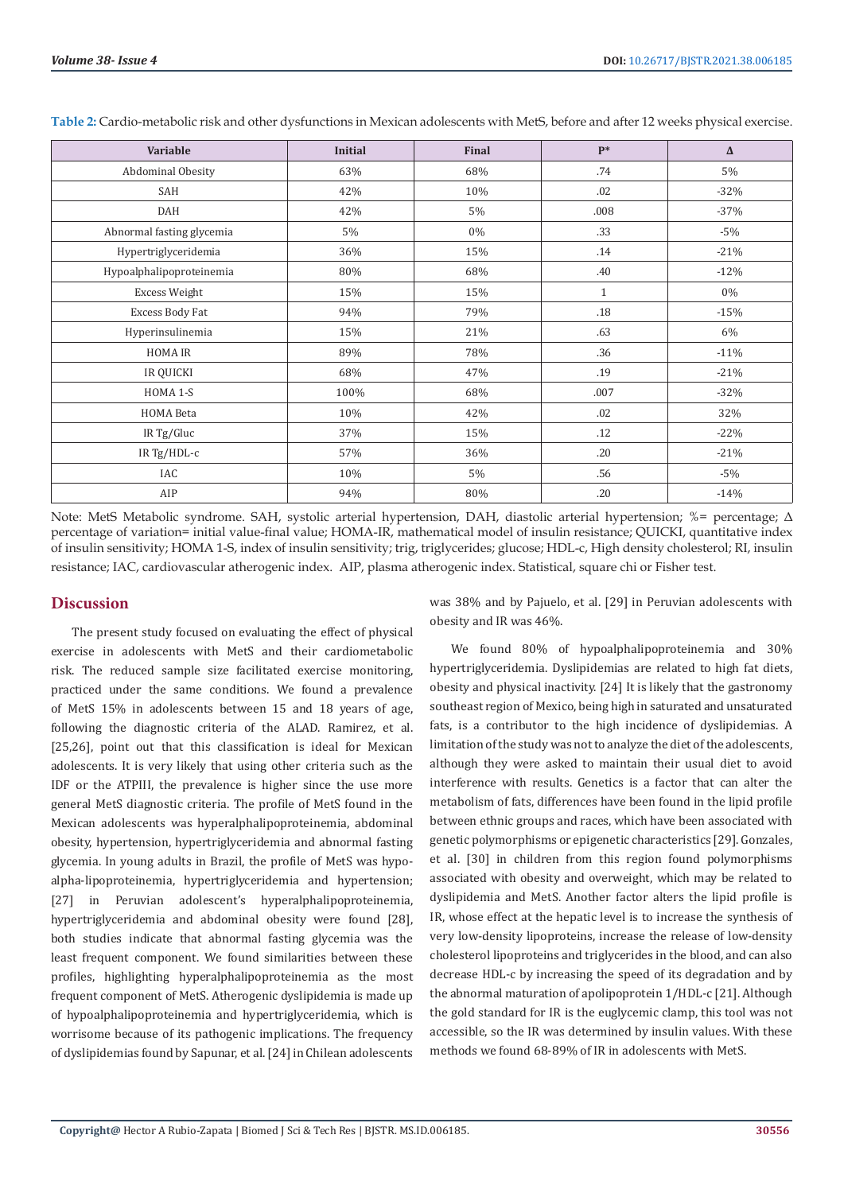| Variable                  | <b>Initial</b> | Final | $P*$         | $\Delta$ |
|---------------------------|----------------|-------|--------------|----------|
| Abdominal Obesity         | 63%            | 68%   | .74          | 5%       |
| SAH                       | 42%            | 10%   | .02          | $-32%$   |
| DAH                       | 42%            | 5%    | .008         | $-37%$   |
| Abnormal fasting glycemia | 5%             | $0\%$ | .33          | $-5%$    |
| Hypertriglyceridemia      | 36%            | 15%   | .14          | $-21%$   |
| Hypoalphalipoproteinemia  | 80%            | 68%   | .40          | $-12%$   |
| <b>Excess Weight</b>      | 15%            | 15%   | $\mathbf{1}$ | 0%       |
| Excess Body Fat           | 94%            | 79%   | .18          | $-15%$   |
| Hyperinsulinemia          | 15%            | 21%   | .63          | 6%       |
| <b>HOMA IR</b>            | 89%            | 78%   | .36          | $-11%$   |
| <b>IR QUICKI</b>          | 68%            | 47%   | .19          | $-21%$   |
| HOMA 1-S                  | 100%           | 68%   | .007         | $-32%$   |
| <b>HOMA</b> Beta          | 10%            | 42%   | .02          | 32%      |
| IR Tg/Gluc                | 37%            | 15%   | .12          | $-22%$   |
| IR Tg/HDL-c               | 57%            | 36%   | .20          | $-21%$   |
| IAC                       | 10%            | 5%    | .56          | $-5%$    |
| AIP                       | 94%            | 80%   | .20          | $-14%$   |

**Table 2:** Cardio-metabolic risk and other dysfunctions in Mexican adolescents with MetS, before and after 12 weeks physical exercise.

Note: MetS Metabolic syndrome. SAH, systolic arterial hypertension, DAH, diastolic arterial hypertension; %= percentage; Δ percentage of variation= initial value-final value; HOMA-IR, mathematical model of insulin resistance; QUICKI, quantitative index of insulin sensitivity; HOMA 1-S, index of insulin sensitivity; trig, triglycerides; glucose; HDL-c, High density cholesterol; RI, insulin resistance; IAC, cardiovascular atherogenic index. AIP, plasma atherogenic index. Statistical, square chi or Fisher test.

#### **Discussion**

The present study focused on evaluating the effect of physical exercise in adolescents with MetS and their cardiometabolic risk. The reduced sample size facilitated exercise monitoring, practiced under the same conditions. We found a prevalence of MetS 15% in adolescents between 15 and 18 years of age, following the diagnostic criteria of the ALAD. Ramirez, et al. [25,26], point out that this classification is ideal for Mexican adolescents. It is very likely that using other criteria such as the IDF or the ATPIII, the prevalence is higher since the use more general MetS diagnostic criteria. The profile of MetS found in the Mexican adolescents was hyperalphalipoproteinemia, abdominal obesity, hypertension, hypertriglyceridemia and abnormal fasting glycemia. In young adults in Brazil, the profile of MetS was hypoalpha-lipoproteinemia, hypertriglyceridemia and hypertension; [27] in Peruvian adolescent's hyperalphalipoproteinemia, hypertriglyceridemia and abdominal obesity were found [28]. both studies indicate that abnormal fasting glycemia was the least frequent component. We found similarities between these profiles, highlighting hyperalphalipoproteinemia as the most frequent component of MetS. Atherogenic dyslipidemia is made up of hypoalphalipoproteinemia and hypertriglyceridemia, which is worrisome because of its pathogenic implications. The frequency of dyslipidemias found by Sapunar, et al. [24] in Chilean adolescents

was 38% and by Pajuelo, et al. [29] in Peruvian adolescents with obesity and IR was 46%.

We found 80% of hypoalphalipoproteinemia and 30% hypertriglyceridemia. Dyslipidemias are related to high fat diets, obesity and physical inactivity. [24] It is likely that the gastronomy southeast region of Mexico, being high in saturated and unsaturated fats, is a contributor to the high incidence of dyslipidemias. A limitation of the study was not to analyze the diet of the adolescents, although they were asked to maintain their usual diet to avoid interference with results. Genetics is a factor that can alter the metabolism of fats, differences have been found in the lipid profile between ethnic groups and races, which have been associated with genetic polymorphisms or epigenetic characteristics [29]. Gonzales, et al. [30] in children from this region found polymorphisms associated with obesity and overweight, which may be related to dyslipidemia and MetS. Another factor alters the lipid profile is IR, whose effect at the hepatic level is to increase the synthesis of very low-density lipoproteins, increase the release of low-density cholesterol lipoproteins and triglycerides in the blood, and can also decrease HDL-c by increasing the speed of its degradation and by the abnormal maturation of apolipoprotein 1/HDL-c [21]. Although the gold standard for IR is the euglycemic clamp, this tool was not accessible, so the IR was determined by insulin values. With these methods we found 68-89% of IR in adolescents with MetS.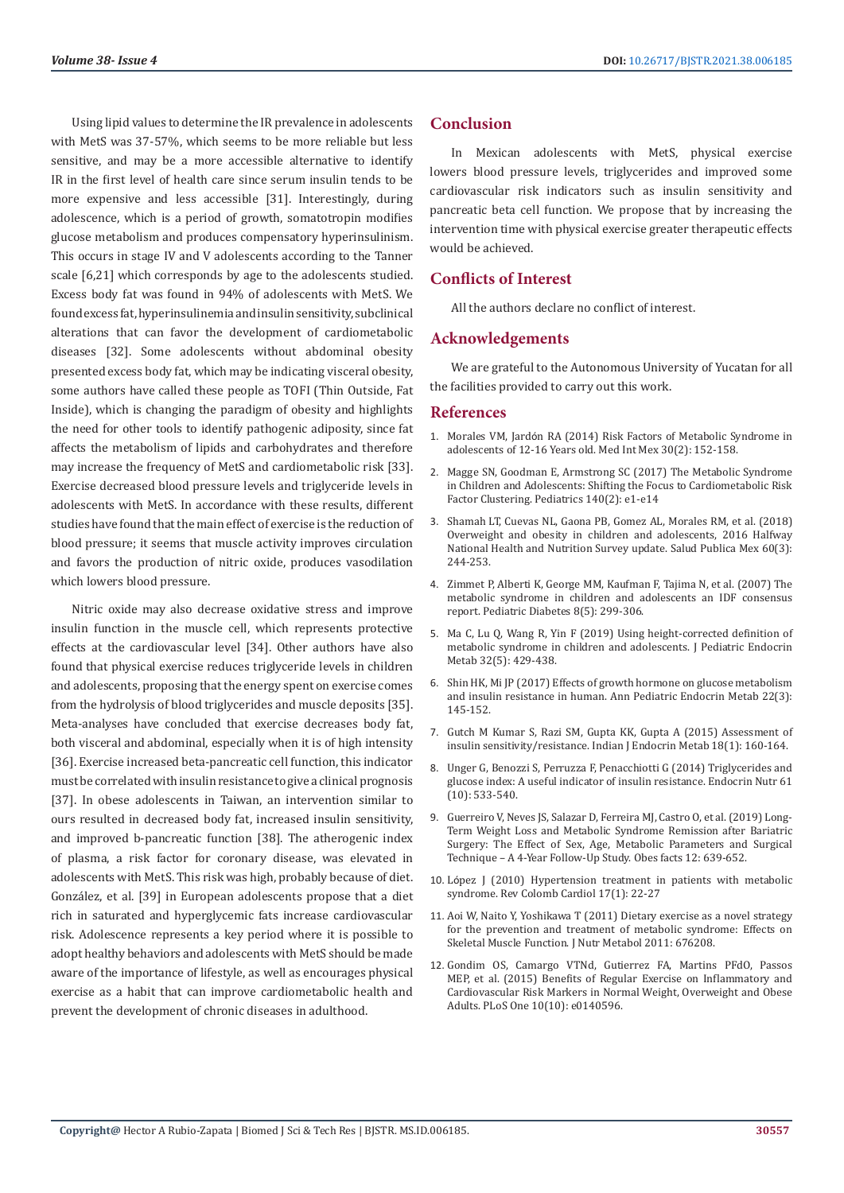Using lipid values to determine the IR prevalence in adolescents with MetS was 37-57%, which seems to be more reliable but less sensitive, and may be a more accessible alternative to identify IR in the first level of health care since serum insulin tends to be more expensive and less accessible [31]. Interestingly, during adolescence, which is a period of growth, somatotropin modifies glucose metabolism and produces compensatory hyperinsulinism. This occurs in stage IV and V adolescents according to the Tanner scale [6,21] which corresponds by age to the adolescents studied. Excess body fat was found in 94% of adolescents with MetS. We found excess fat, hyperinsulinemia and insulin sensitivity, subclinical alterations that can favor the development of cardiometabolic diseases [32]. Some adolescents without abdominal obesity presented excess body fat, which may be indicating visceral obesity, some authors have called these people as TOFI (Thin Outside, Fat Inside), which is changing the paradigm of obesity and highlights the need for other tools to identify pathogenic adiposity, since fat affects the metabolism of lipids and carbohydrates and therefore may increase the frequency of MetS and cardiometabolic risk [33]. Exercise decreased blood pressure levels and triglyceride levels in adolescents with MetS. In accordance with these results, different studies have found that the main effect of exercise is the reduction of blood pressure; it seems that muscle activity improves circulation and favors the production of nitric oxide, produces vasodilation which lowers blood pressure.

Nitric oxide may also decrease oxidative stress and improve insulin function in the muscle cell, which represents protective effects at the cardiovascular level [34]. Other authors have also found that physical exercise reduces triglyceride levels in children and adolescents, proposing that the energy spent on exercise comes from the hydrolysis of blood triglycerides and muscle deposits [35]. Meta-analyses have concluded that exercise decreases body fat, both visceral and abdominal, especially when it is of high intensity [36]. Exercise increased beta-pancreatic cell function, this indicator must be correlated with insulin resistance to give a clinical prognosis [37]. In obese adolescents in Taiwan, an intervention similar to ours resulted in decreased body fat, increased insulin sensitivity, and improved b-pancreatic function [38]. The atherogenic index of plasma, a risk factor for coronary disease, was elevated in adolescents with MetS. This risk was high, probably because of diet. González, et al. [39] in European adolescents propose that a diet rich in saturated and hyperglycemic fats increase cardiovascular risk. Adolescence represents a key period where it is possible to adopt healthy behaviors and adolescents with MetS should be made aware of the importance of lifestyle, as well as encourages physical exercise as a habit that can improve cardiometabolic health and prevent the development of chronic diseases in adulthood.

# **Conclusion**

In Mexican adolescents with MetS, physical exercise lowers blood pressure levels, triglycerides and improved some cardiovascular risk indicators such as insulin sensitivity and pancreatic beta cell function. We propose that by increasing the intervention time with physical exercise greater therapeutic effects would be achieved.

# **Conflicts of Interest**

All the authors declare no conflict of interest.

#### **Acknowledgements**

We are grateful to the Autonomous University of Yucatan for all the facilities provided to carry out this work.

#### **References**

- 1. Morales VM, Jardó[n RA \(2014\) Risk Factors of Metabolic Syndrome in](https://www.medigraphic.com/cgi-bin/new/resumenI.cgi?IDARTICULO=49023) [adolescents of 12-16 Years old. Med Int Mex 30\(2\): 152-158.](https://www.medigraphic.com/cgi-bin/new/resumenI.cgi?IDARTICULO=49023)
- 2. [Magge SN, Goodman E, Armstrong SC \(2017\) The Metabolic Syndrome](https://pubmed.ncbi.nlm.nih.gov/28739653/) [in Children and Adolescents: Shifting the Focus to Cardiometabolic Risk](https://pubmed.ncbi.nlm.nih.gov/28739653/) [Factor Clustering. Pediatrics 140\(2\): e1-e14](https://pubmed.ncbi.nlm.nih.gov/28739653/)
- 3. [Shamah LT, Cuevas NL, Gaona PB, Gomez AL, Morales RM, et al. \(2018\)](https://pubmed.ncbi.nlm.nih.gov/29746741/) [Overweight and obesity in children and adolescents, 2016 Halfway](https://pubmed.ncbi.nlm.nih.gov/29746741/) [National Health and Nutrition Survey update. Salud Publica Mex 60\(3\):](https://pubmed.ncbi.nlm.nih.gov/29746741/) [244-253.](https://pubmed.ncbi.nlm.nih.gov/29746741/)
- 4. [Zimmet P, Alberti K, George MM, Kaufman F, Tajima N, et al. \(2007\) The](https://pubmed.ncbi.nlm.nih.gov/17850473/) [metabolic syndrome in children and adolescents an IDF consensus](https://pubmed.ncbi.nlm.nih.gov/17850473/) [report. Pediatric Diabetes 8\(5\): 299-306.](https://pubmed.ncbi.nlm.nih.gov/17850473/)
- 5. [Ma C, Lu Q, Wang R, Yin F \(2019\) Using height-corrected definition of](https://pubmed.ncbi.nlm.nih.gov/31050656/) [metabolic syndrome in children and adolescents. J Pediatric Endocrin](https://pubmed.ncbi.nlm.nih.gov/31050656/) [Metab 32\(5\): 429-438.](https://pubmed.ncbi.nlm.nih.gov/31050656/)
- 6. [Shin HK, Mi JP \(2017\) Effects of growth hormone on glucose metabolism](https://www.ncbi.nlm.nih.gov/pmc/articles/PMC5642081/) [and insulin resistance in human. Ann Pediatric Endocrin Metab 22\(3\):](https://www.ncbi.nlm.nih.gov/pmc/articles/PMC5642081/) [145-152.](https://www.ncbi.nlm.nih.gov/pmc/articles/PMC5642081/)
- 7. [Gutch M Kumar S, Razi SM, Gupta KK, Gupta A \(2015\) Assessment of](https://www.ncbi.nlm.nih.gov/pmc/articles/PMC4287763/) [insulin sensitivity/resistance. Indian J Endocrin Metab 18\(1\): 160-164.](https://www.ncbi.nlm.nih.gov/pmc/articles/PMC4287763/)
- 8. [Unger G, Benozzi S, Perruzza F, Penacchiotti G \(2014\) Triglycerides and](https://pubmed.ncbi.nlm.nih.gov/25174769/) [glucose index: A useful indicator of insulin resistance. Endocrin Nutr 61](https://pubmed.ncbi.nlm.nih.gov/25174769/) [\(10\): 533-540.](https://pubmed.ncbi.nlm.nih.gov/25174769/)
- 9. [Guerreiro V, Neves JS, Salazar D, Ferreira MJ, Castro O, et al. \(2019\) Long-](https://pubmed.ncbi.nlm.nih.gov/31747662/)[Term Weight Loss and Metabolic Syndrome Remission after Bariatric](https://pubmed.ncbi.nlm.nih.gov/31747662/) [Surgery: The Effect of Sex, Age, Metabolic Parameters and Surgical](https://pubmed.ncbi.nlm.nih.gov/31747662/) [Technique – A 4-Year Follow-Up Study. Obes facts 12: 639-652.](https://pubmed.ncbi.nlm.nih.gov/31747662/)
- 10. López J (2010) Hypertension treatment in patients with metabolic syndrome. Rev Colomb Cardiol 17(1): 22-27
- 11. [Aoi W, Naito Y, Yoshikawa T \(2011\) Dietary exercise as a novel strategy](https://pubmed.ncbi.nlm.nih.gov/21773023/) [for the prevention and treatment of metabolic syndrome: Effects on](https://pubmed.ncbi.nlm.nih.gov/21773023/) [Skeletal Muscle Function. J Nutr Metabol 2011: 676208.](https://pubmed.ncbi.nlm.nih.gov/21773023/)
- 12. [Gondim OS, Camargo VTNd, Gutierrez FA, Martins PFdO, Passos](https://pubmed.ncbi.nlm.nih.gov/26474157/) [MEP, et al. \(2015\) Benefits of Regular Exercise on Inflammatory and](https://pubmed.ncbi.nlm.nih.gov/26474157/) [Cardiovascular Risk Markers in Normal Weight, Overweight and Obese](https://pubmed.ncbi.nlm.nih.gov/26474157/) [Adults. PLoS One 10\(10\): e0140596.](https://pubmed.ncbi.nlm.nih.gov/26474157/)